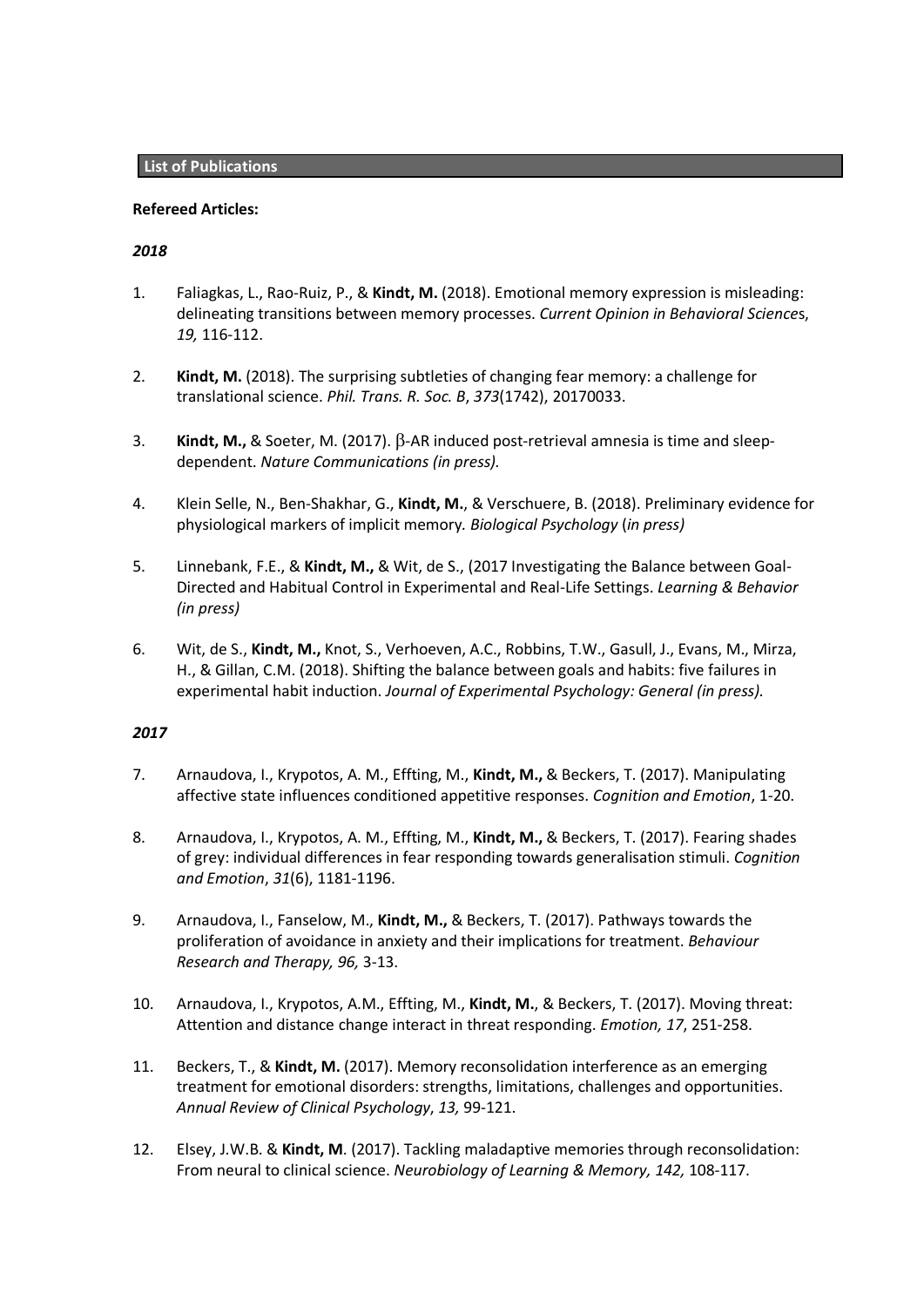# **Refereed Articles:**

# *2018*

- 1. Faliagkas, L., Rao-Ruiz, P., & **Kindt, M.** (2018). Emotional memory expression is misleading: delineating transitions between memory processes. *Current Opinion in Behavioral Science*s, *19,* 116-112.
- 2. **Kindt, M.** (2018). The surprising subtleties of changing fear memory: a challenge for translational science. *Phil. Trans. R. Soc. B*, *373*(1742), 20170033.
- 3. **Kindt, M.,** & Soeter, M. (2017).  $\beta$ -AR induced post-retrieval amnesia is time and sleepdependent. *Nature Communications (in press).*
- 4. Klein Selle, N., Ben-Shakhar, G., **Kindt, M.**, & Verschuere, B. (2018). Preliminary evidence for physiological markers of implicit memory*. Biological Psychology* (*in press)*
- 5. Linnebank, F.E., & **Kindt, M.,** & Wit, de S., (2017 Investigating the Balance between Goal-Directed and Habitual Control in Experimental and Real-Life Settings. *Learning & Behavior (in press)*
- 6. Wit, de S., **Kindt, M.,** Knot, S., Verhoeven, A.C., Robbins, T.W., Gasull, J., Evans, M., Mirza, H., & Gillan, C.M. (2018). Shifting the balance between goals and habits: five failures in experimental habit induction. *Journal of Experimental Psychology: General (in press).*

- 7. Arnaudova, I., Krypotos, A. M., Effting, M., **Kindt, M.,** & Beckers, T. (2017). Manipulating affective state influences conditioned appetitive responses. *Cognition and Emotion*, 1-20.
- 8. Arnaudova, I., Krypotos, A. M., Effting, M., **Kindt, M.,** & Beckers, T. (2017). Fearing shades of grey: individual differences in fear responding towards generalisation stimuli. *Cognition and Emotion*, *31*(6), 1181-1196.
- 9. Arnaudova, I., Fanselow, M., **Kindt, M.,** & Beckers, T. (2017). Pathways towards the proliferation of avoidance in anxiety and their implications for treatment. *Behaviour Research and Therapy, 96,* 3-13.
- 10. Arnaudova, I., Krypotos, A.M., Effting, M., **Kindt, M.**, & Beckers, T. (2017). Moving threat: Attention and distance change interact in threat responding. *Emotion, 17*, 251-258.
- 11. Beckers, T., & **Kindt, M.** (2017). Memory reconsolidation interference as an emerging treatment for emotional disorders: strengths, limitations, challenges and opportunities. *Annual Review of Clinical Psychology*, *13,* 99-121.
- 12. Elsey, J.W.B. & **Kindt, M**. (2017). Tackling maladaptive memories through reconsolidation: From neural to clinical science. *Neurobiology of Learning & Memory, 142,* 108-117.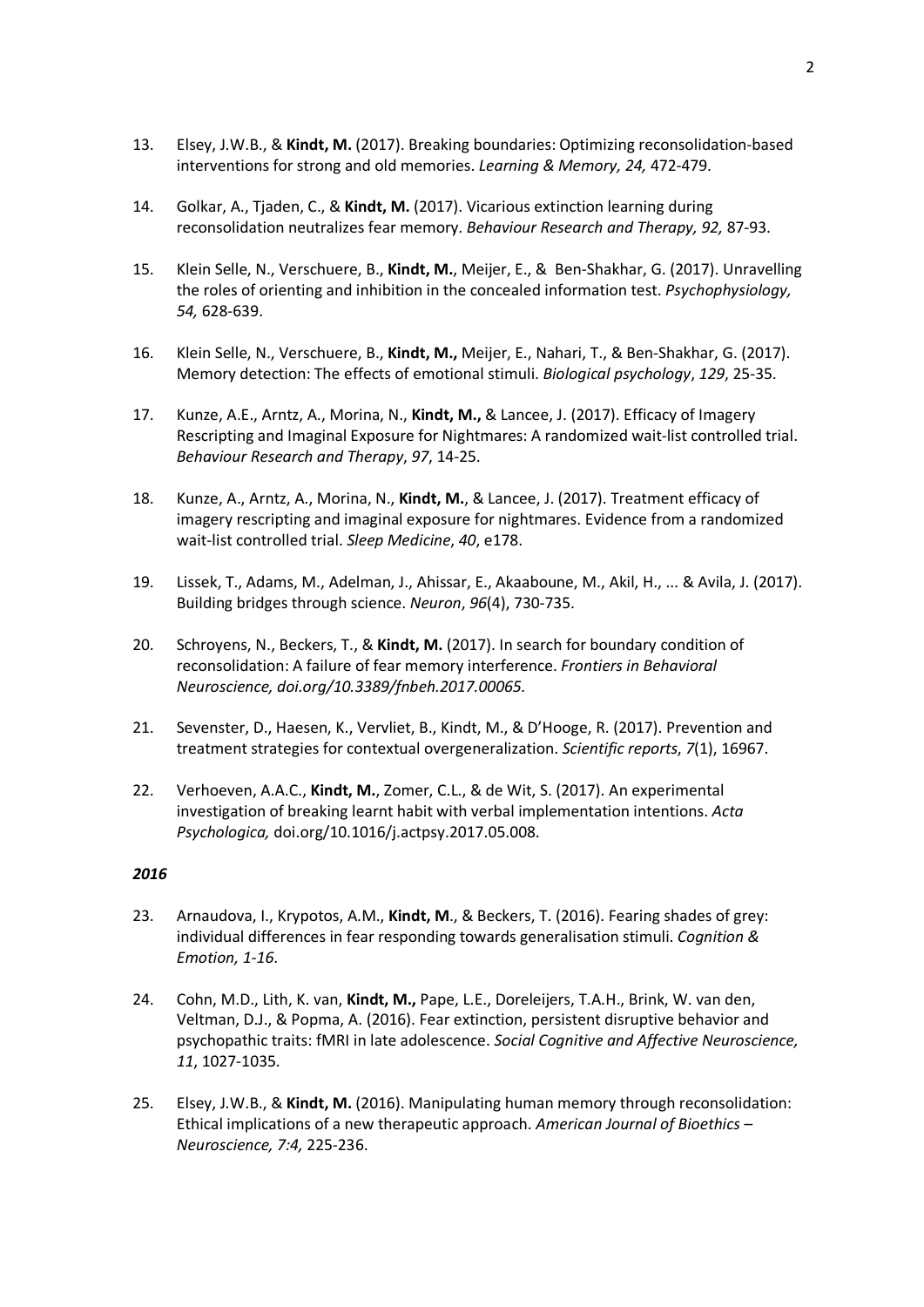- 13. Elsey, J.W.B., & **Kindt, M.** (2017). Breaking boundaries: Optimizing reconsolidation-based interventions for strong and old memories. *Learning & Memory, 24,* 472-479.
- 14. Golkar, A., Tjaden, C., & **Kindt, M.** (2017). Vicarious extinction learning during reconsolidation neutralizes fear memory. *Behaviour Research and Therapy, 92,* 87-93.
- 15. Klein Selle, N., Verschuere, B., **Kindt, M.**, Meijer, E., & Ben-Shakhar, G. (2017). Unravelling the roles of orienting and inhibition in the concealed information test. *Psychophysiology, 54,* 628-639.
- 16. Klein Selle, N., Verschuere, B., **Kindt, M.,** Meijer, E., Nahari, T., & Ben-Shakhar, G. (2017). Memory detection: The effects of emotional stimuli. *Biological psychology*, *129*, 25-35.
- 17. Kunze, A.E., Arntz, A., Morina, N., **Kindt, M.,** & Lancee, J. (2017). Efficacy of Imagery Rescripting and Imaginal Exposure for Nightmares: A randomized wait-list controlled trial. *Behaviour Research and Therapy*, *97*, 14-25.
- 18. Kunze, A., Arntz, A., Morina, N., **Kindt, M.**, & Lancee, J. (2017). Treatment efficacy of imagery rescripting and imaginal exposure for nightmares. Evidence from a randomized wait-list controlled trial. *Sleep Medicine*, *40*, e178.
- 19. Lissek, T., Adams, M., Adelman, J., Ahissar, E., Akaaboune, M., Akil, H., ... & Avila, J. (2017). Building bridges through science. *Neuron*, *96*(4), 730-735.
- 20. Schroyens, N., Beckers, T., & **Kindt, M.** (2017). In search for boundary condition of reconsolidation: A failure of fear memory interference. *Frontiers in Behavioral Neuroscience, doi.org/10.3389/fnbeh.2017.00065.*
- 21. Sevenster, D., Haesen, K., Vervliet, B., Kindt, M., & D'Hooge, R. (2017). Prevention and treatment strategies for contextual overgeneralization. *Scientific reports*, *7*(1), 16967.
- 22. Verhoeven, A.A.C., **Kindt, M.**, Zomer, C.L., & de Wit, S. (2017). An experimental investigation of breaking learnt habit with verbal implementation intentions. *Acta Psychologica,* doi.org/10.1016/j.actpsy.2017.05.008.

- 23. Arnaudova, I., Krypotos, A.M., **Kindt, M**., & Beckers, T. (2016). Fearing shades of grey: individual differences in fear responding towards generalisation stimuli. *Cognition & Emotion, 1-16*.
- 24. Cohn, M.D., Lith, K. van, **Kindt, M.,** Pape, L.E., Doreleijers, T.A.H., Brink, W. van den, Veltman, D.J., & Popma, A. (2016). Fear extinction, persistent disruptive behavior and psychopathic traits: fMRI in late adolescence. *Social Cognitive and Affective Neuroscience, 11*, 1027-1035.
- 25. Elsey, J.W.B., & **Kindt, M.** (2016). Manipulating human memory through reconsolidation: Ethical implications of a new therapeutic approach. *American Journal of Bioethics – Neuroscience, 7:4,* 225-236.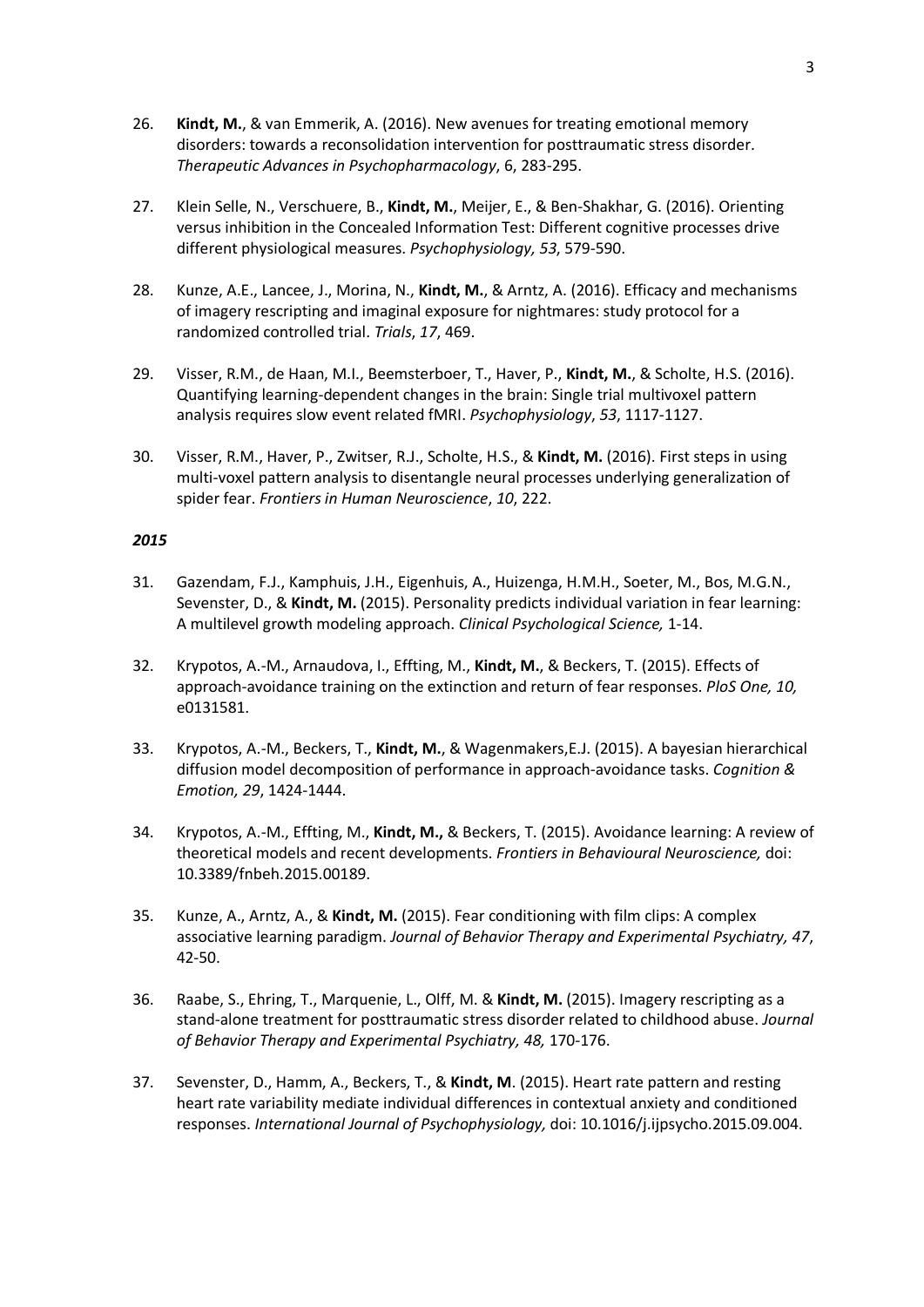- 26. **Kindt, M.**, & van Emmerik, A. (2016). New avenues for treating emotional memory disorders: towards a reconsolidation intervention for posttraumatic stress disorder. *Therapeutic Advances in Psychopharmacology*, 6, 283-295.
- 27. Klein Selle, N., Verschuere, B., **Kindt, M.**, Meijer, E., & Ben-Shakhar, G. (2016). Orienting versus inhibition in the Concealed Information Test: Different cognitive processes drive different physiological measures. *Psychophysiology, 53*, 579-590.
- 28. Kunze, A.E., Lancee, J., Morina, N., **Kindt, M.**, & Arntz, A. (2016). Efficacy and mechanisms of imagery rescripting and imaginal exposure for nightmares: study protocol for a randomized controlled trial. *Trials*, *17*, 469.
- 29. Visser, R.M., de Haan, M.I., Beemsterboer, T., Haver, P., **Kindt, M.**, & Scholte, H.S. (2016). Quantifying learning-dependent changes in the brain: Single trial multivoxel pattern analysis requires slow event related fMRI. *Psychophysiology*, *53*, 1117-1127.
- 30. Visser, R.M., Haver, P., Zwitser, R.J., Scholte, H.S., & **Kindt, M.** (2016). First steps in using multi-voxel pattern analysis to disentangle neural processes underlying generalization of spider fear. *Frontiers in Human Neuroscience*, *10*, 222.

- 31. Gazendam, F.J., Kamphuis, J.H., Eigenhuis, A., Huizenga, H.M.H., Soeter, M., Bos, M.G.N., Sevenster, D., & **Kindt, M.** (2015). Personality predicts individual variation in fear learning: A multilevel growth modeling approach. *Clinical Psychological Science,* 1-14.
- 32. Krypotos, A.-M., Arnaudova, I., Effting, M., **Kindt, M.**, & Beckers, T. (2015). Effects of approach-avoidance training on the extinction and return of fear responses. *PloS One, 10,* e0131581.
- 33. Krypotos, A.-M., Beckers, T., **Kindt, M.**, & Wagenmakers,E.J. (2015). A bayesian hierarchical diffusion model decomposition of performance in approach-avoidance tasks. *Cognition & Emotion, 29*, 1424-1444.
- 34. Krypotos, A.-M., Effting, M., **Kindt, M.,** & Beckers, T. (2015). Avoidance learning: A review of theoretical models and recent developments. *Frontiers in Behavioural Neuroscience,* doi: 10.3389/fnbeh.2015.00189.
- 35. Kunze, A., Arntz, A., & **Kindt, M.** (2015). Fear conditioning with film clips: A complex associative learning paradigm. *Journal of Behavior Therapy and Experimental Psychiatry, 47*, 42-50.
- 36. Raabe, S., Ehring, T., Marquenie, L., Olff, M. & **Kindt, M.** (2015). Imagery rescripting as a stand-alone treatment for posttraumatic stress disorder related to childhood abuse. *Journal of Behavior Therapy and Experimental Psychiatry, 48,* 170-176.
- 37. Sevenster, D., Hamm, A., Beckers, T., & **Kindt, M**. (2015). Heart rate pattern and resting heart rate variability mediate individual differences in contextual anxiety and conditioned responses. *International Journal of Psychophysiology,* doi: 10.1016/j.ijpsycho.2015.09.004.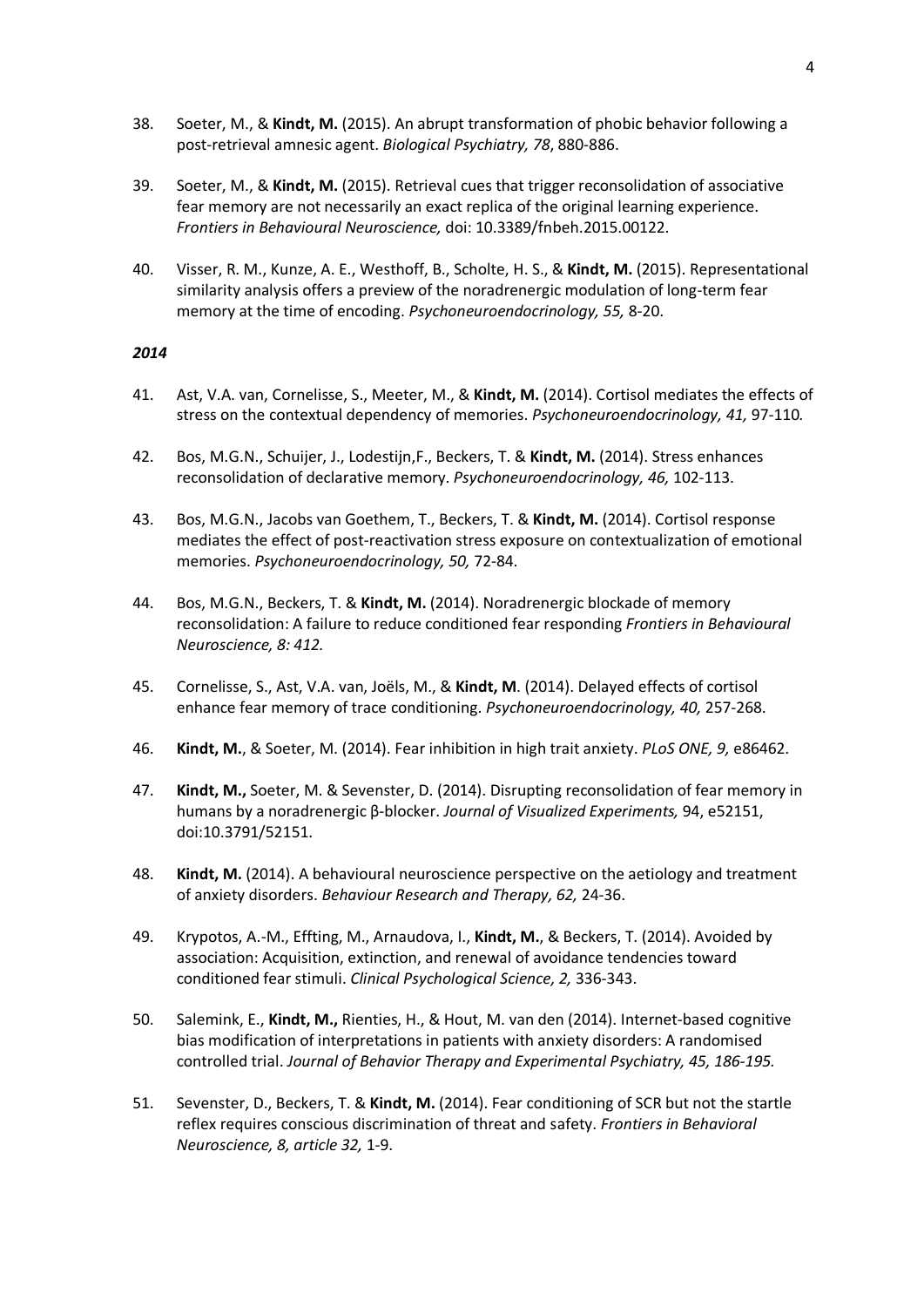- 38. Soeter, M., & **Kindt, M.** (2015). An abrupt transformation of phobic behavior following a post-retrieval amnesic agent. *Biological Psychiatry, 78*, 880-886.
- 39. Soeter, M., & **Kindt, M.** (2015). Retrieval cues that trigger reconsolidation of associative fear memory are not necessarily an exact replica of the original learning experience. *Frontiers in Behavioural Neuroscience,* doi: 10.3389/fnbeh.2015.00122.
- 40. Visser, R. M., Kunze, A. E., Westhoff, B., Scholte, H. S., & **Kindt, M.** (2015). Representational similarity analysis offers a preview of the noradrenergic modulation of long-term fear memory at the time of encoding. *Psychoneuroendocrinology, 55,* 8-20.

- 41. Ast, V.A. van, Cornelisse, S., Meeter, M., & **Kindt, M.** (2014). Cortisol mediates the effects of stress on the contextual dependency of memories. *Psychoneuroendocrinology, 41,* 97-110*.*
- 42. Bos, M.G.N., Schuijer, J., Lodestijn,F., Beckers, T. & **Kindt, M.** (2014). Stress enhances reconsolidation of declarative memory. *Psychoneuroendocrinology, 46,* 102-113.
- 43. Bos, M.G.N., Jacobs van Goethem, T., Beckers, T. & **Kindt, M.** (2014). Cortisol response mediates the effect of post-reactivation stress exposure on contextualization of emotional memories. *Psychoneuroendocrinology, 50,* 72-84.
- 44. Bos, M.G.N., Beckers, T. & **Kindt, M.** (2014). Noradrenergic blockade of memory reconsolidation: A failure to reduce conditioned fear responding *Frontiers in Behavioural Neuroscience, 8: 412.*
- 45. Cornelisse, S., Ast, V.A. van, Joëls, M., & **Kindt, M**. (2014). Delayed effects of cortisol enhance fear memory of trace conditioning. *Psychoneuroendocrinology, 40,* 257-268.
- 46. **Kindt, M.**, & Soeter, M. (2014). Fear inhibition in high trait anxiety. *PLoS ONE, 9,* e86462.
- 47. **Kindt, M.,** Soeter, M. & Sevenster, D. (2014). Disrupting reconsolidation of fear memory in humans by a noradrenergic β-blocker. *Journal of Visualized Experiments,* 94, e52151, doi:10.3791/52151.
- 48. **Kindt, M.** (2014). A behavioural neuroscience perspective on the aetiology and treatment of anxiety disorders. *Behaviour Research and Therapy, 62,* 24-36.
- 49. Krypotos, A.-M., Effting, M., Arnaudova, I., **Kindt, M.**, & Beckers, T. (2014). Avoided by association: Acquisition, extinction, and renewal of avoidance tendencies toward conditioned fear stimuli. *Clinical Psychological Science, 2,* 336-343.
- 50. Salemink, E., **Kindt, M.,** Rienties, H., & Hout, M. van den (2014). Internet-based cognitive bias modification of interpretations in patients with anxiety disorders: A randomised controlled trial. *Journal of Behavior Therapy and Experimental Psychiatry, 45, 186-195.*
- 51. Sevenster, D., Beckers, T. & **Kindt, M.** (2014). Fear conditioning of SCR but not the startle reflex requires conscious discrimination of threat and safety. *Frontiers in Behavioral Neuroscience, 8, article 32,* 1-9.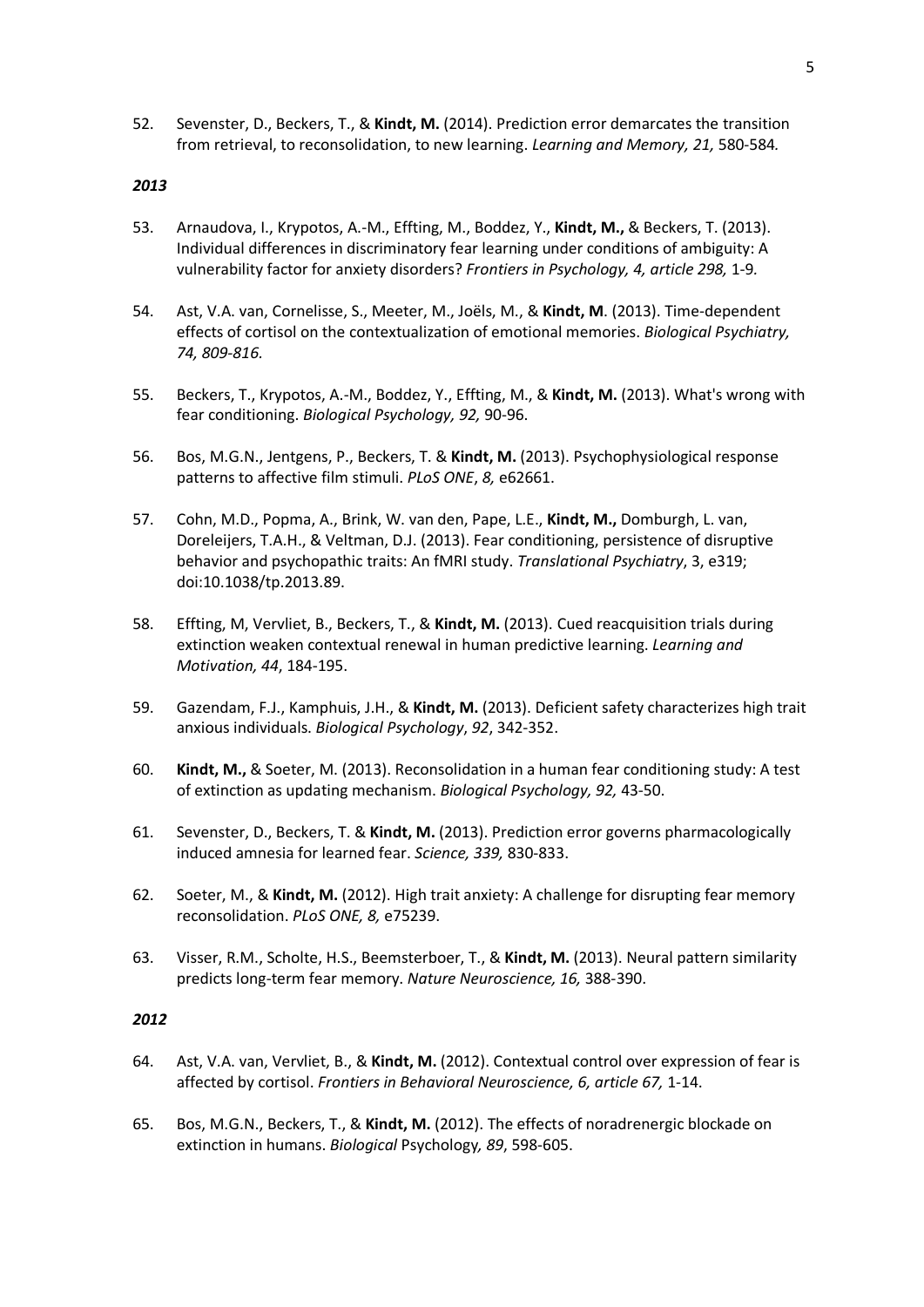52. Sevenster, D., Beckers, T., & **Kindt, M.** (2014). Prediction error demarcates the transition from retrieval, to reconsolidation, to new learning. *Learning and Memory, 21,* 580-584*.*

# *2013*

- 53. Arnaudova, I., Krypotos, A.-M., Effting, M., Boddez, Y., **Kindt, M.,** & Beckers, T. (2013). Individual differences in discriminatory fear learning under conditions of ambiguity: A vulnerability factor for anxiety disorders? *Frontiers in Psychology, 4, article 298,* 1-9*.*
- 54. Ast, V.A. van, Cornelisse, S., Meeter, M., Joëls, M., & **Kindt, M**. (2013). Time-dependent effects of cortisol on the contextualization of emotional memories. *Biological Psychiatry, 74, 809-816.*
- 55. Beckers, T., Krypotos, A.-M., Boddez, Y., Effting, M., & **Kindt, M.** (2013). What's wrong with fear conditioning. *Biological Psychology, 92,* 90-96.
- 56. Bos, M.G.N., Jentgens, P., Beckers, T. & **Kindt, M.** (2013). Psychophysiological response patterns to affective film stimuli. *PLoS ONE*, *8,* e62661.
- 57. Cohn, M.D., Popma, A., Brink, W. van den, Pape, L.E., **Kindt, M.,** Domburgh, L. van, Doreleijers, T.A.H., & Veltman, D.J. (2013). Fear conditioning, persistence of disruptive behavior and psychopathic traits: An fMRI study. *Translational Psychiatry*, 3, e319; doi:10.1038/tp.2013.89.
- 58. Effting, M, Vervliet, B., Beckers, T., & **Kindt, M.** (2013). Cued reacquisition trials during extinction weaken contextual renewal in human predictive learning. *Learning and Motivation, 44*, 184-195.
- 59. Gazendam, F.J., Kamphuis, J.H., & **Kindt, M.** (2013). Deficient safety characterizes high trait anxious individuals. *Biological Psychology*, *92*, 342-352.
- 60. **Kindt, M.,** & Soeter, M. (2013). Reconsolidation in a human fear conditioning study: A test of extinction as updating mechanism. *Biological Psychology, 92,* 43-50.
- 61. Sevenster, D., Beckers, T. & **Kindt, M.** (2013). Prediction error governs pharmacologically induced amnesia for learned fear. *Science, 339,* 830-833.
- 62. Soeter, M., & **Kindt, M.** (2012). High trait anxiety: A challenge for disrupting fear memory reconsolidation. *PLoS ONE, 8,* e75239.
- 63. Visser, R.M., Scholte, H.S., Beemsterboer, T., & **Kindt, M.** (2013). Neural pattern similarity predicts long-term fear memory. *Nature Neuroscience, 16,* 388-390.

- 64. Ast, V.A. van, Vervliet, B., & **Kindt, M.** (2012). Contextual control over expression of fear is affected by cortisol. *Frontiers in Behavioral Neuroscience, 6, article 67,* 1-14.
- 65. Bos, M.G.N., Beckers, T., & **Kindt, M.** (2012). The effects of noradrenergic blockade on extinction in humans. *Biological* Psychology*, 89*, 598-605.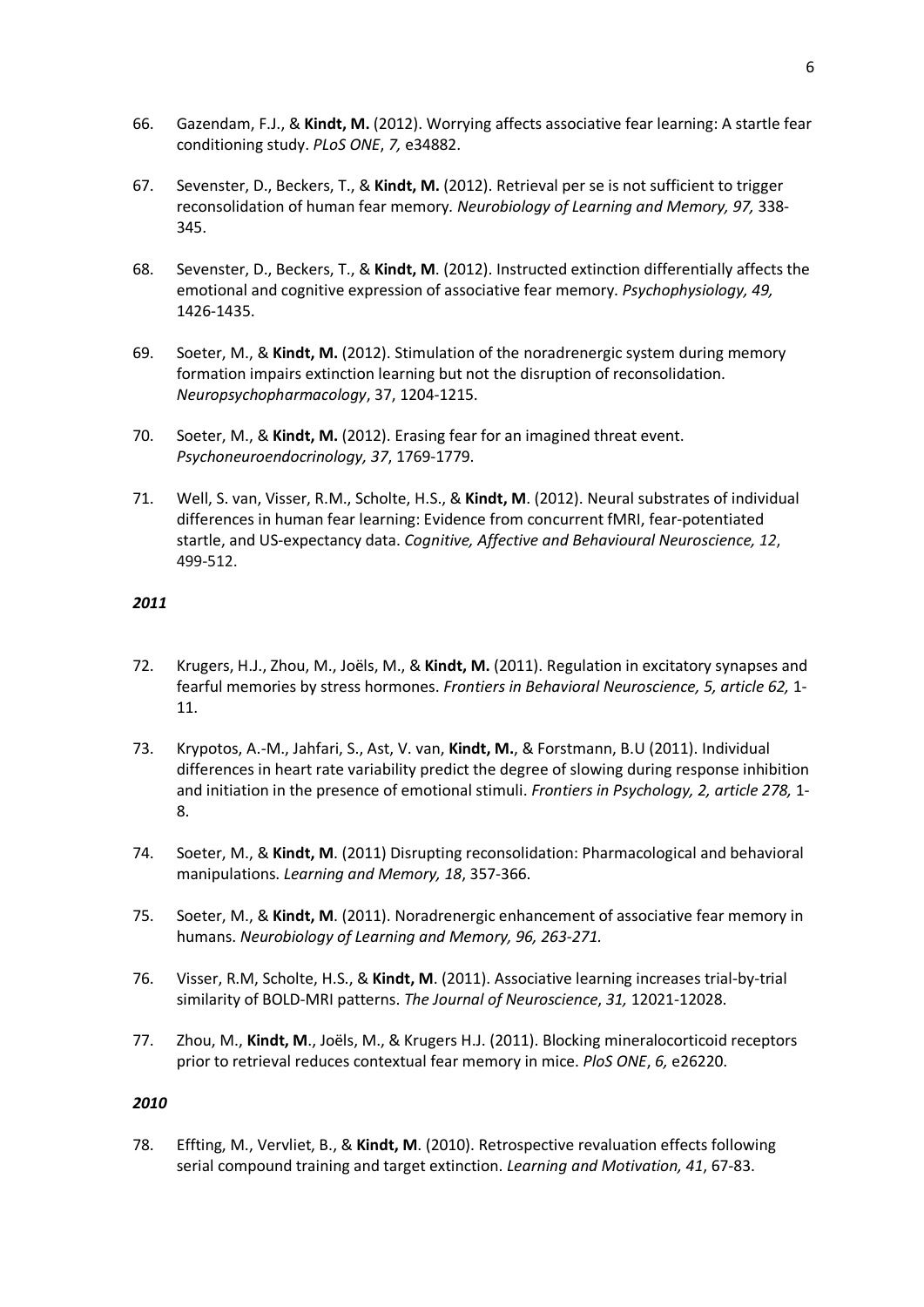- 66. Gazendam, F.J., & **Kindt, M.** (2012). Worrying affects associative fear learning: A startle fear conditioning study. *PLoS ONE*, *7,* e34882.
- 67. Sevenster, D., Beckers, T., & **Kindt, M.** (2012). Retrieval per se is not sufficient to trigger reconsolidation of human fear memory*. Neurobiology of Learning and Memory, 97,* 338- 345.
- 68. Sevenster, D., Beckers, T., & **Kindt, M**. (2012). Instructed extinction differentially affects the emotional and cognitive expression of associative fear memory. *Psychophysiology, 49,*  1426-1435.
- 69. Soeter, M., & **Kindt, M.** (2012). Stimulation of the noradrenergic system during memory formation impairs extinction learning but not the disruption of reconsolidation. *Neuropsychopharmacology*, 37, 1204-1215.
- 70. Soeter, M., & **Kindt, M.** (2012). Erasing fear for an imagined threat event. *Psychoneuroendocrinology, 37*, 1769-1779.
- 71. Well, S. van, Visser, R.M., Scholte, H.S., & **Kindt, M**. (2012). Neural substrates of individual differences in human fear learning: Evidence from concurrent fMRI, fear-potentiated startle, and US-expectancy data. *Cognitive, Affective and Behavioural Neuroscience, 12*, 499-512.

- 72. Krugers, H.J., Zhou, M., Joëls, M., & **Kindt, M.** (2011). Regulation in excitatory synapses and fearful memories by stress hormones. *Frontiers in Behavioral Neuroscience, 5, article 62,* 1- 11.
- 73. Krypotos, A.-M., Jahfari, S., Ast, V. van, **Kindt, M.**, & Forstmann, B.U (2011). Individual differences in heart rate variability predict the degree of slowing during response inhibition and initiation in the presence of emotional stimuli. *Frontiers in Psychology, 2, article 278,* 1- 8.
- 74. Soeter, M., & **Kindt, M**. (2011) Disrupting reconsolidation: Pharmacological and behavioral manipulations. *Learning and Memory, 18*, 357-366.
- 75. Soeter, M., & **Kindt, M**. (2011). Noradrenergic enhancement of associative fear memory in humans. *Neurobiology of Learning and Memory, 96, 263-271.*
- 76. Visser, R.M, Scholte, H.S., & **Kindt, M**. (2011). Associative learning increases trial-by-trial similarity of BOLD-MRI patterns. *The Journal of Neuroscience*, *31,* 12021-12028.
- 77. Zhou, M., **Kindt, M**., Joëls, M., & Krugers H.J. (2011). Blocking mineralocorticoid receptors prior to retrieval reduces contextual fear memory in mice. *PloS ONE*, *6,* e26220.

### *2010*

78. Effting, M., Vervliet, B., & **Kindt, M**. (2010). Retrospective revaluation effects following serial compound training and target extinction. *Learning and Motivation, 41*, 67-83.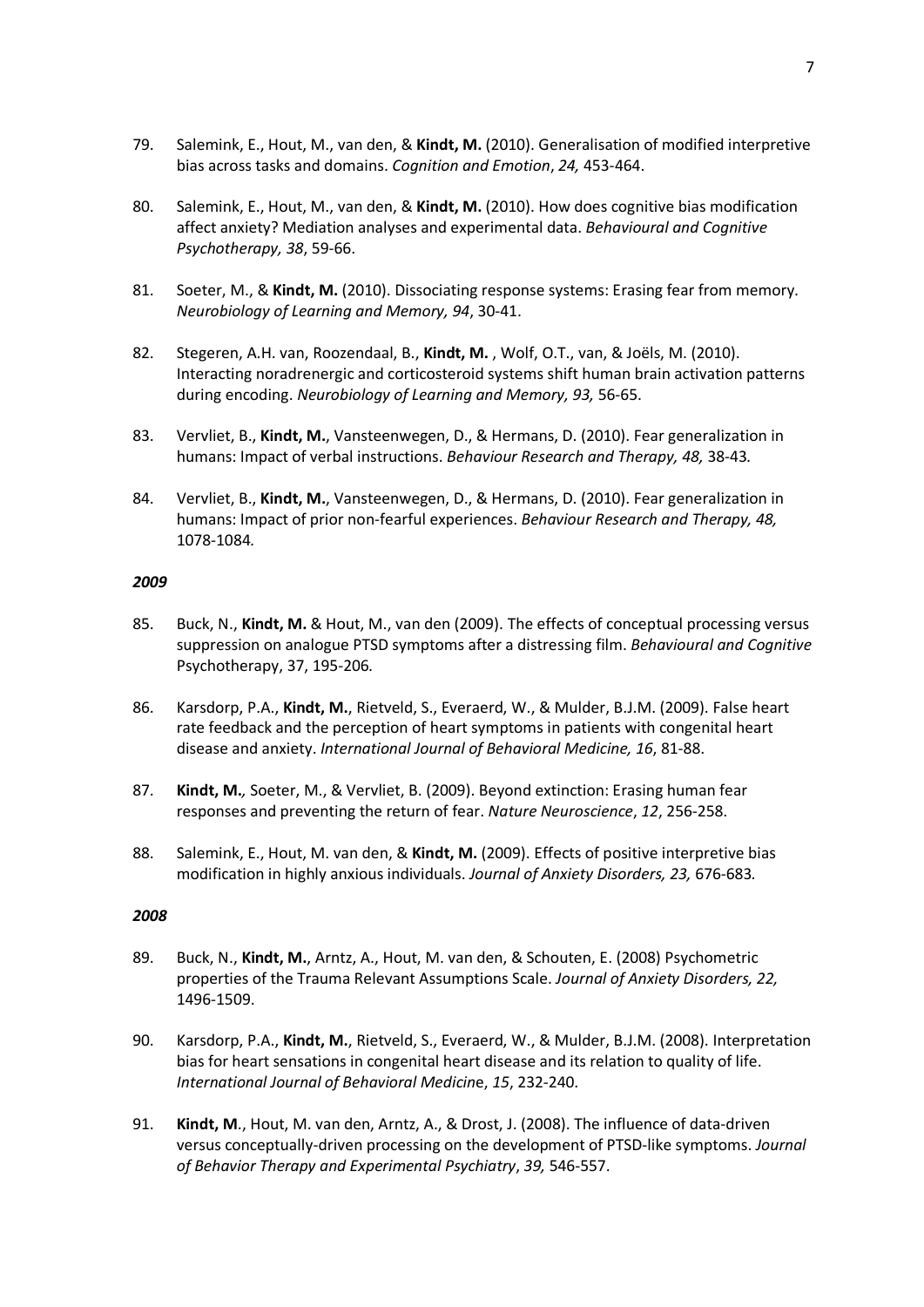- 79. Salemink, E., Hout, M., van den, & **Kindt, M.** (2010). Generalisation of modified interpretive bias across tasks and domains. *Cognition and Emotion*, *24,* 453-464.
- 80. Salemink, E., Hout, M., van den, & **Kindt, M.** (2010). How does cognitive bias modification affect anxiety? Mediation analyses and experimental data. *Behavioural and Cognitive Psychotherapy, 38*, 59-66.
- 81. Soeter, M., & **Kindt, M.** (2010). Dissociating response systems: Erasing fear from memory. *Neurobiology of Learning and Memory, 94*, 30-41.
- 82. Stegeren, A.H. van, Roozendaal, B., **Kindt, M.** , Wolf, O.T., van, & Joëls, M. (2010). Interacting noradrenergic and corticosteroid systems shift human brain activation patterns during encoding. *Neurobiology of Learning and Memory, 93,* 56-65.
- 83. Vervliet, B., **Kindt, M.**, Vansteenwegen, D., & Hermans, D. (2010). Fear generalization in humans: Impact of verbal instructions. *Behaviour Research and Therapy, 48,* 38-43*.*
- 84. Vervliet, B., **Kindt, M.**, Vansteenwegen, D., & Hermans, D. (2010). Fear generalization in humans: Impact of prior non-fearful experiences. *Behaviour Research and Therapy, 48,*  1078-1084*.*

- 85. Buck, N., **Kindt, M.** & Hout, M., van den (2009). The effects of conceptual processing versus suppression on analogue PTSD symptoms after a distressing film. *Behavioural and Cognitive*  Psychotherapy, 37, 195-206*.*
- 86. Karsdorp, P.A., **Kindt, M.**, Rietveld, S., Everaerd, W., & Mulder, B.J.M. (2009). False heart rate feedback and the perception of heart symptoms in patients with congenital heart disease and anxiety. *International Journal of Behavioral Medicine, 16*, 81-88.
- 87. **Kindt, M.***,* Soeter, M., & Vervliet, B. (2009). Beyond extinction: Erasing human fear responses and preventing the return of fear. *Nature Neuroscience*, *12*, 256-258.
- 88. Salemink, E., Hout, M. van den, & **Kindt, M.** (2009). Effects of positive interpretive bias modification in highly anxious individuals. *Journal of Anxiety Disorders, 23,* 676-683*.*

- 89. Buck, N., **Kindt, M.**, Arntz, A., Hout, M. van den, & Schouten, E. (2008) Psychometric properties of the Trauma Relevant Assumptions Scale. *Journal of Anxiety Disorders, 22,* 1496-1509.
- 90. Karsdorp, P.A., **Kindt, M.**, Rietveld, S., Everaerd, W., & Mulder, B.J.M. (2008). Interpretation bias for heart sensations in congenital heart disease and its relation to quality of life. *International Journal of Behavioral Medicin*e, *15*, 232-240.
- 91. **Kindt, M**., Hout, M. van den, Arntz, A., & Drost, J. (2008). The influence of data-driven versus conceptually-driven processing on the development of PTSD-like symptoms. *Journal of Behavior Therapy and Experimental Psychiatry*, *39,* 546-557.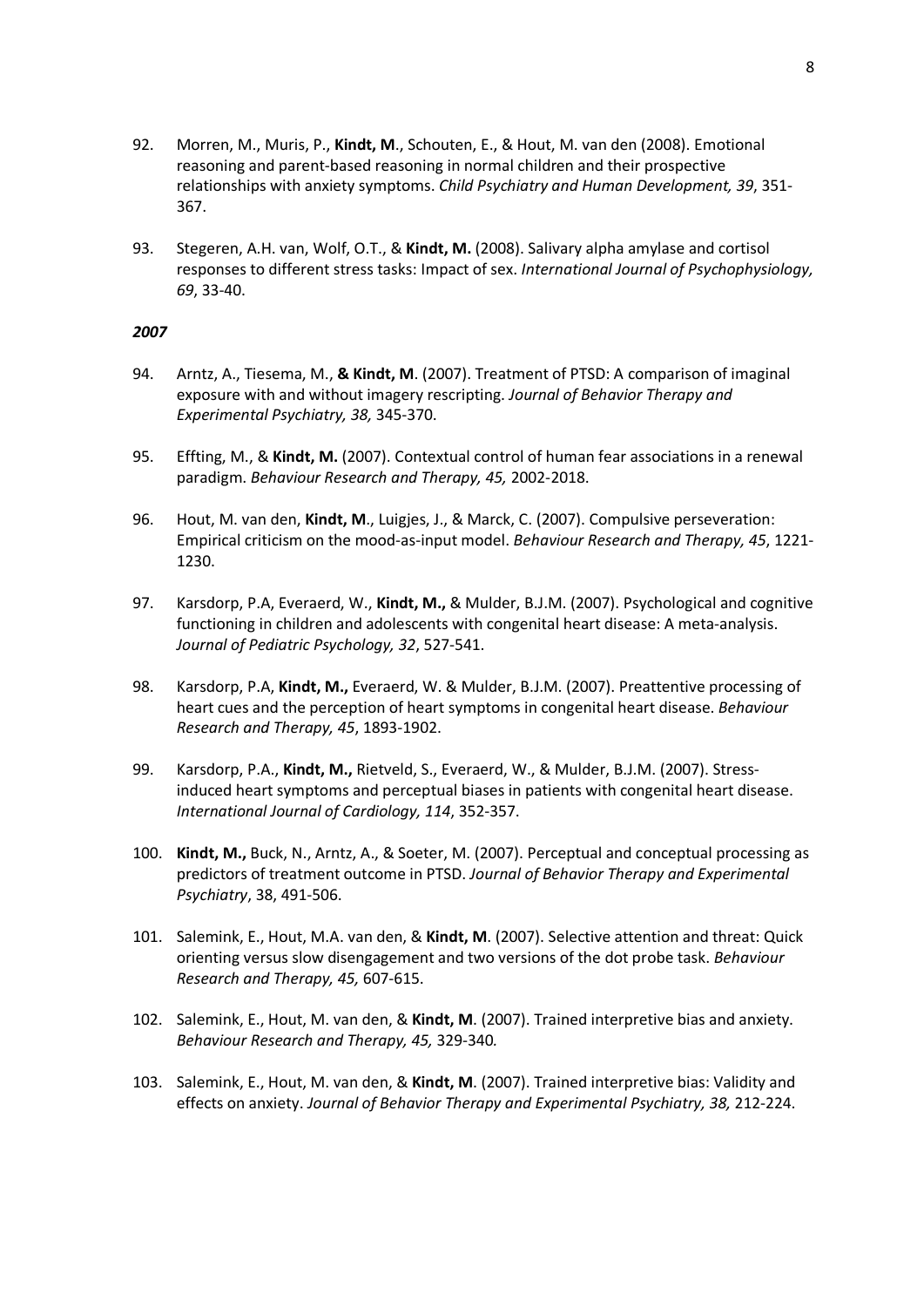- 92. Morren, M., Muris, P., **Kindt, M**., Schouten, E., & Hout, M. van den (2008). Emotional reasoning and parent-based reasoning in normal children and their prospective relationships with anxiety symptoms. *Child Psychiatry and Human Development, 39*, 351- 367.
- 93. Stegeren, A.H. van, Wolf, O.T., & **Kindt, M.** (2008). Salivary alpha amylase and cortisol responses to different stress tasks: Impact of sex. *International Journal of Psychophysiology, 69*, 33-40.

- 94. Arntz, A., Tiesema, M., **& Kindt, M**. (2007). Treatment of PTSD: A comparison of imaginal exposure with and without imagery rescripting. *Journal of Behavior Therapy and Experimental Psychiatry, 38,* 345-370.
- 95. Effting, M., & **Kindt, M.** (2007). Contextual control of human fear associations in a renewal paradigm. *Behaviour Research and Therapy, 45,* 2002-2018.
- 96. Hout, M. van den, **Kindt, M**., Luigjes, J., & Marck, C. (2007). Compulsive perseveration: Empirical criticism on the mood-as-input model. *Behaviour Research and Therapy, 45*, 1221- 1230.
- 97. Karsdorp, P.A, Everaerd, W., **Kindt, M.,** & Mulder, B.J.M. (2007). Psychological and cognitive functioning in children and adolescents with congenital heart disease: A meta-analysis. *Journal of Pediatric Psychology, 32*, 527-541.
- 98. Karsdorp, P.A, **Kindt, M.,** Everaerd, W. & Mulder, B.J.M. (2007). Preattentive processing of heart cues and the perception of heart symptoms in congenital heart disease. *Behaviour Research and Therapy, 45*, 1893-1902.
- 99. Karsdorp, P.A., **Kindt, M.,** Rietveld, S., Everaerd, W., & Mulder, B.J.M. (2007). Stressinduced heart symptoms and perceptual biases in patients with congenital heart disease. *International Journal of Cardiology, 114*, 352-357.
- 100. **Kindt, M.,** Buck, N., Arntz, A., & Soeter, M. (2007). Perceptual and conceptual processing as predictors of treatment outcome in PTSD. *Journal of Behavior Therapy and Experimental Psychiatry*, 38, 491-506.
- 101. Salemink, E., Hout, M.A. van den, & **Kindt, M**. (2007). Selective attention and threat: Quick orienting versus slow disengagement and two versions of the dot probe task. *Behaviour Research and Therapy, 45,* 607-615.
- 102. Salemink, E., Hout, M. van den, & **Kindt, M**. (2007). Trained interpretive bias and anxiety. *Behaviour Research and Therapy, 45,* 329-340*.*
- 103. Salemink, E., Hout, M. van den, & **Kindt, M**. (2007). Trained interpretive bias: Validity and effects on anxiety. *Journal of Behavior Therapy and Experimental Psychiatry, 38,* 212-224.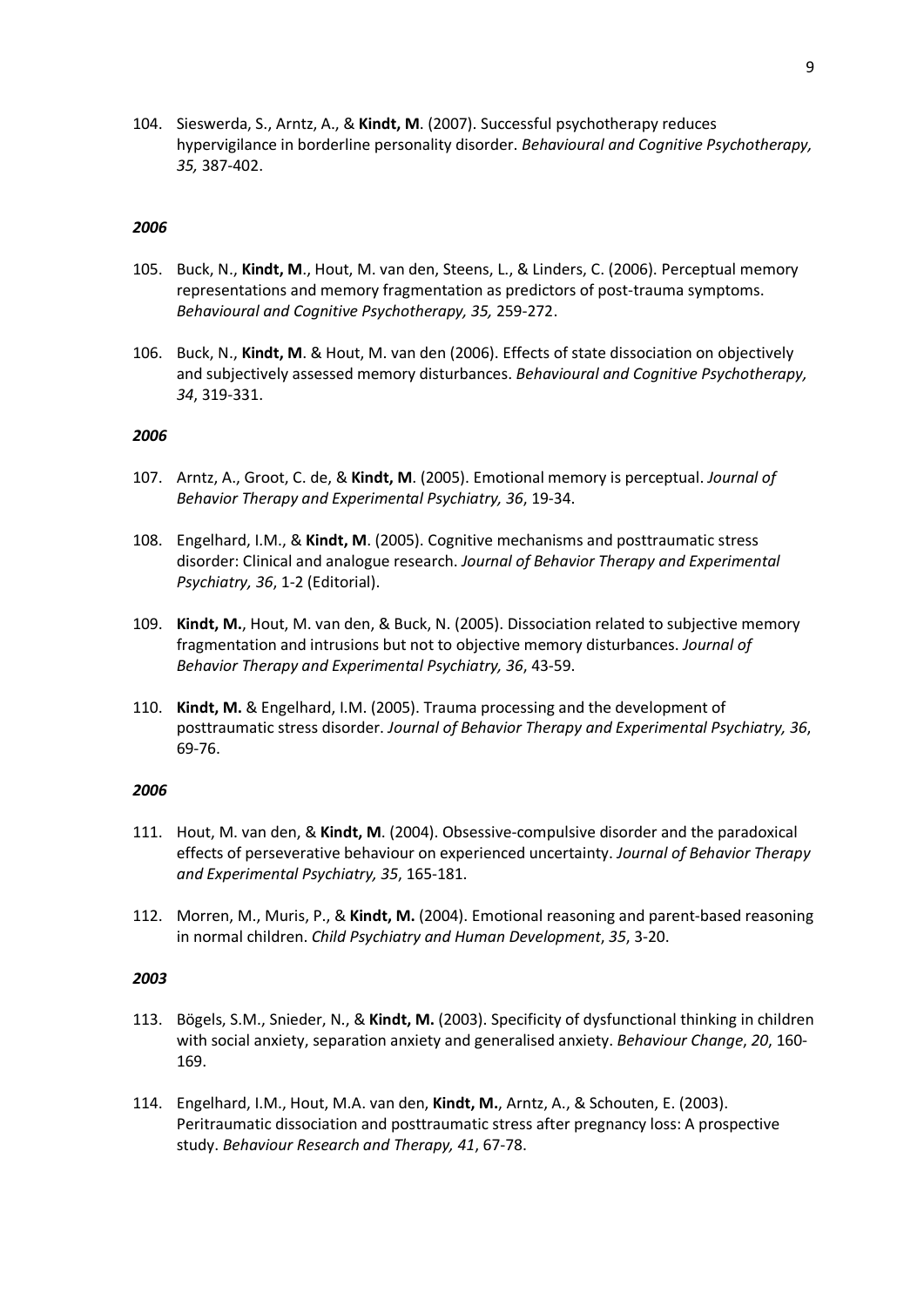104. Sieswerda, S., Arntz, A., & **Kindt, M**. (2007). Successful psychotherapy reduces hypervigilance in borderline personality disorder. *Behavioural and Cognitive Psychotherapy, 35,* 387-402.

### *2006*

- 105. Buck, N., **Kindt, M**., Hout, M. van den, Steens, L., & Linders, C. (2006). Perceptual memory representations and memory fragmentation as predictors of post-trauma symptoms. *Behavioural and Cognitive Psychotherapy, 35,* 259-272.
- 106. Buck, N., **Kindt, M**. & Hout, M. van den (2006). Effects of state dissociation on objectively and subjectively assessed memory disturbances. *Behavioural and Cognitive Psychotherapy, 34*, 319-331.

### *2006*

- 107. Arntz, A., Groot, C. de, & **Kindt, M**. (2005). Emotional memory is perceptual. *Journal of Behavior Therapy and Experimental Psychiatry, 36*, 19-34.
- 108. Engelhard, I.M., & **Kindt, M**. (2005). Cognitive mechanisms and posttraumatic stress disorder: Clinical and analogue research. *Journal of Behavior Therapy and Experimental Psychiatry, 36*, 1-2 (Editorial).
- 109. **Kindt, M.**, Hout, M. van den, & Buck, N. (2005). Dissociation related to subjective memory fragmentation and intrusions but not to objective memory disturbances. *Journal of Behavior Therapy and Experimental Psychiatry, 36*, 43-59.
- 110. **Kindt, M.** & Engelhard, I.M. (2005). Trauma processing and the development of posttraumatic stress disorder. *Journal of Behavior Therapy and Experimental Psychiatry, 36*, 69-76.

### *2006*

- 111. Hout, M. van den, & **Kindt, M**. (2004). Obsessive-compulsive disorder and the paradoxical effects of perseverative behaviour on experienced uncertainty. *Journal of Behavior Therapy and Experimental Psychiatry, 35*, 165-181.
- 112. Morren, M., Muris, P., & **Kindt, M.** (2004). Emotional reasoning and parent-based reasoning in normal children. *Child Psychiatry and Human Development*, *35*, 3-20.

- 113. Bögels, S.M., Snieder, N., & **Kindt, M.** (2003). Specificity of dysfunctional thinking in children with social anxiety, separation anxiety and generalised anxiety. *Behaviour Change*, *20*, 160- 169.
- 114. Engelhard, I.M., Hout, M.A. van den, **Kindt, M.**, Arntz, A., & Schouten, E. (2003). Peritraumatic dissociation and posttraumatic stress after pregnancy loss: A prospective study. *Behaviour Research and Therapy, 41*, 67-78.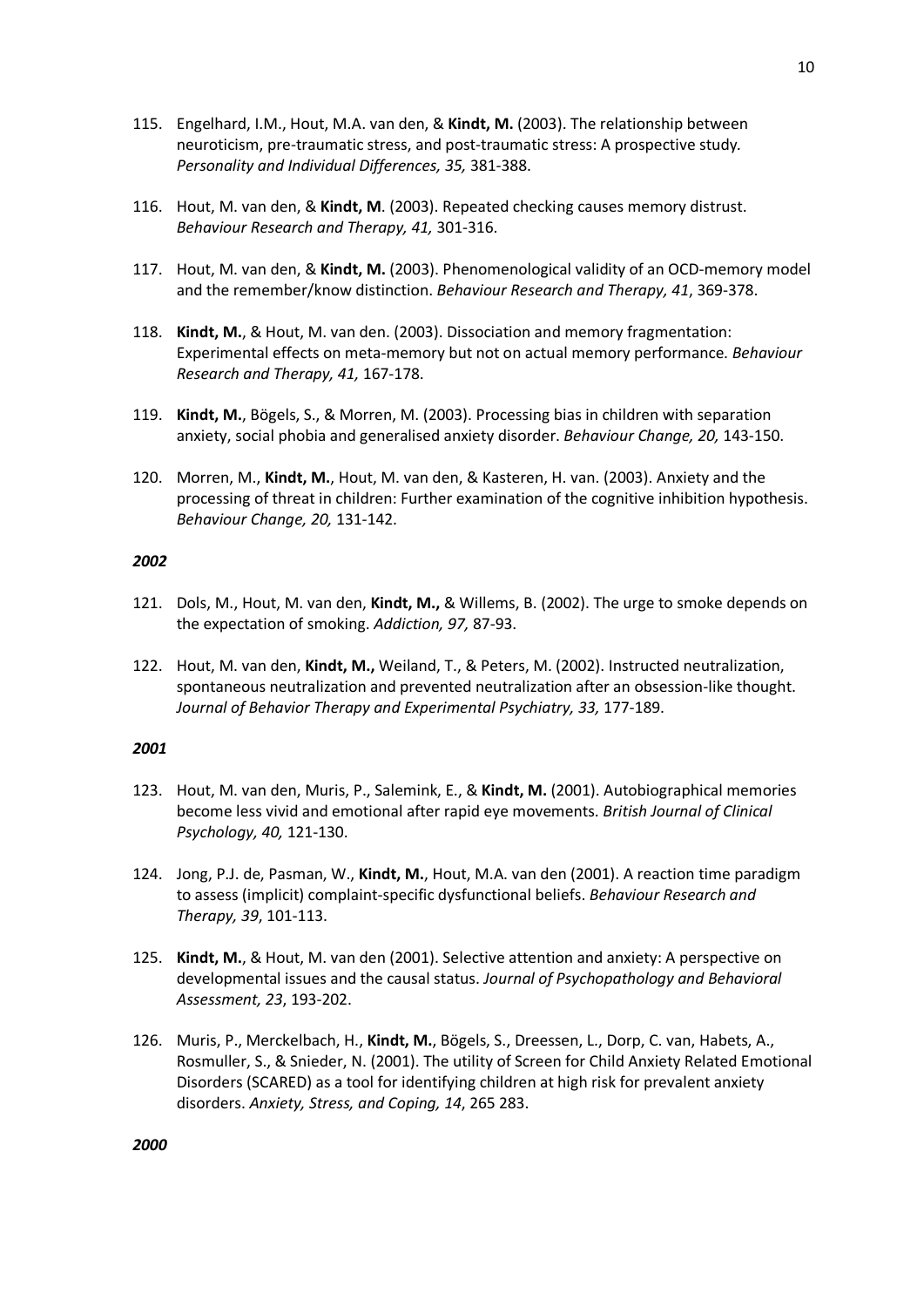- 115. Engelhard, I.M., Hout, M.A. van den, & **Kindt, M.** (2003). The relationship between neuroticism, pre-traumatic stress, and post-traumatic stress: A prospective study*. Personality and Individual Differences, 35,* 381-388.
- 116. Hout, M. van den, & **Kindt, M**. (2003). Repeated checking causes memory distrust. *Behaviour Research and Therapy, 41,* 301-316.
- 117. Hout, M. van den, & **Kindt, M.** (2003). Phenomenological validity of an OCD-memory model and the remember/know distinction. *Behaviour Research and Therapy, 41*, 369-378.
- 118. **Kindt, M.**, & Hout, M. van den. (2003). Dissociation and memory fragmentation: Experimental effects on meta-memory but not on actual memory performance. *Behaviour Research and Therapy, 41,* 167-178.
- 119. **Kindt, M.**, Bögels, S., & Morren, M. (2003). Processing bias in children with separation anxiety, social phobia and generalised anxiety disorder. *Behaviour Change, 20,* 143-150.
- 120. Morren, M., **Kindt, M.**, Hout, M. van den, & Kasteren, H. van. (2003). Anxiety and the processing of threat in children: Further examination of the cognitive inhibition hypothesis. *Behaviour Change, 20,* 131-142.

- 121. Dols, M., Hout, M. van den, **Kindt, M.,** & Willems, B. (2002). The urge to smoke depends on the expectation of smoking. *Addiction, 97,* 87-93.
- 122. Hout, M. van den, **Kindt, M.,** Weiland, T., & Peters, M. (2002). Instructed neutralization, spontaneous neutralization and prevented neutralization after an obsession-like thought. *Journal of Behavior Therapy and Experimental Psychiatry, 33,* 177-189.

- 123. Hout, M. van den, Muris, P., Salemink, E., & **Kindt, M.** (2001). Autobiographical memories become less vivid and emotional after rapid eye movements. *British Journal of Clinical Psychology, 40,* 121-130.
- 124. Jong, P.J. de, Pasman, W., **Kindt, M.**, Hout, M.A. van den (2001). A reaction time paradigm to assess (implicit) complaint-specific dysfunctional beliefs. *Behaviour Research and Therapy, 39*, 101-113.
- 125. **Kindt, M.**, & Hout, M. van den (2001). Selective attention and anxiety: A perspective on developmental issues and the causal status. *Journal of Psychopathology and Behavioral Assessment, 23*, 193-202.
- 126. Muris, P., Merckelbach, H., **Kindt, M.**, Bögels, S., Dreessen, L., Dorp, C. van, Habets, A., Rosmuller, S., & Snieder, N. (2001). The utility of Screen for Child Anxiety Related Emotional Disorders (SCARED) as a tool for identifying children at high risk for prevalent anxiety disorders. *Anxiety, Stress, and Coping, 14*, 265 283.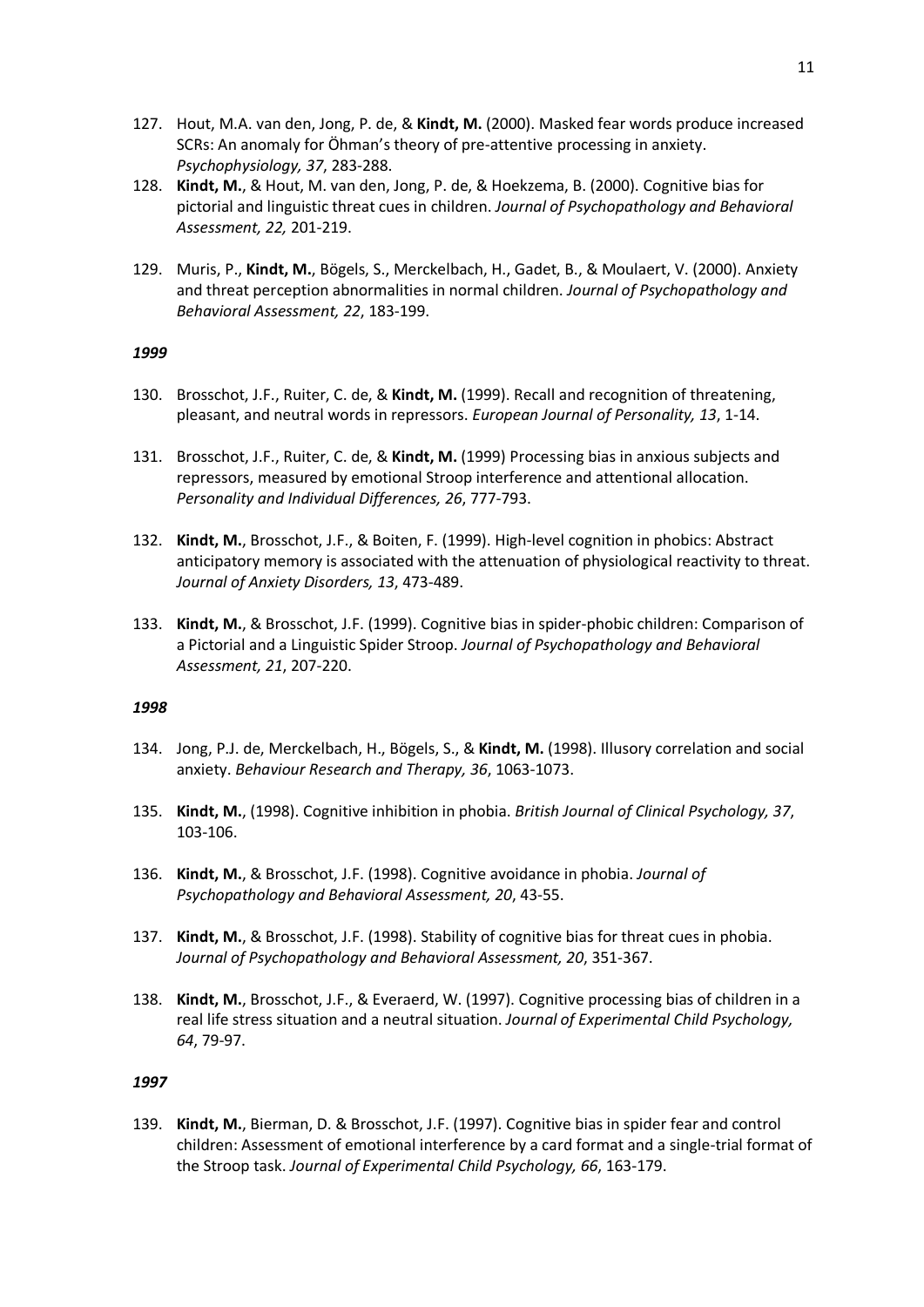- 127. Hout, M.A. van den, Jong, P. de, & **Kindt, M.** (2000). Masked fear words produce increased SCRs: An anomaly for Öhman's theory of pre-attentive processing in anxiety. *Psychophysiology, 37*, 283-288.
- 128. **Kindt, M.**, & Hout, M. van den, Jong, P. de, & Hoekzema, B. (2000). Cognitive bias for pictorial and linguistic threat cues in children. *Journal of Psychopathology and Behavioral Assessment, 22,* 201-219.
- 129. Muris, P., **Kindt, M.**, Bögels, S., Merckelbach, H., Gadet, B., & Moulaert, V. (2000). Anxiety and threat perception abnormalities in normal children. *Journal of Psychopathology and Behavioral Assessment, 22*, 183-199.

- 130. Brosschot, J.F., Ruiter, C. de, & **Kindt, M.** (1999). Recall and recognition of threatening, pleasant, and neutral words in repressors. *European Journal of Personality, 13*, 1-14.
- 131. Brosschot, J.F., Ruiter, C. de, & **Kindt, M.** (1999) Processing bias in anxious subjects and repressors, measured by emotional Stroop interference and attentional allocation. *Personality and Individual Differences, 26*, 777-793.
- 132. **Kindt, M.**, Brosschot, J.F., & Boiten, F. (1999). High-level cognition in phobics: Abstract anticipatory memory is associated with the attenuation of physiological reactivity to threat. *Journal of Anxiety Disorders, 13*, 473-489.
- 133. **Kindt, M.**, & Brosschot, J.F. (1999). Cognitive bias in spider-phobic children: Comparison of a Pictorial and a Linguistic Spider Stroop. *Journal of Psychopathology and Behavioral Assessment, 21*, 207-220.

### *1998*

- 134. Jong, P.J. de, Merckelbach, H., Bögels, S., & **Kindt, M.** (1998). Illusory correlation and social anxiety. *Behaviour Research and Therapy, 36*, 1063-1073.
- 135. **Kindt, M.**, (1998). Cognitive inhibition in phobia. *British Journal of Clinical Psychology, 37*, 103-106.
- 136. **Kindt, M.**, & Brosschot, J.F. (1998). Cognitive avoidance in phobia. *Journal of Psychopathology and Behavioral Assessment, 20*, 43-55.
- 137. **Kindt, M.**, & Brosschot, J.F. (1998). Stability of cognitive bias for threat cues in phobia. *Journal of Psychopathology and Behavioral Assessment, 20*, 351-367.
- 138. **Kindt, M.**, Brosschot, J.F., & Everaerd, W. (1997). Cognitive processing bias of children in a real life stress situation and a neutral situation. *Journal of Experimental Child Psychology, 64*, 79-97.

# *1997*

139. **Kindt, M.**, Bierman, D. & Brosschot, J.F. (1997). Cognitive bias in spider fear and control children: Assessment of emotional interference by a card format and a single-trial format of the Stroop task. *Journal of Experimental Child Psychology, 66*, 163-179.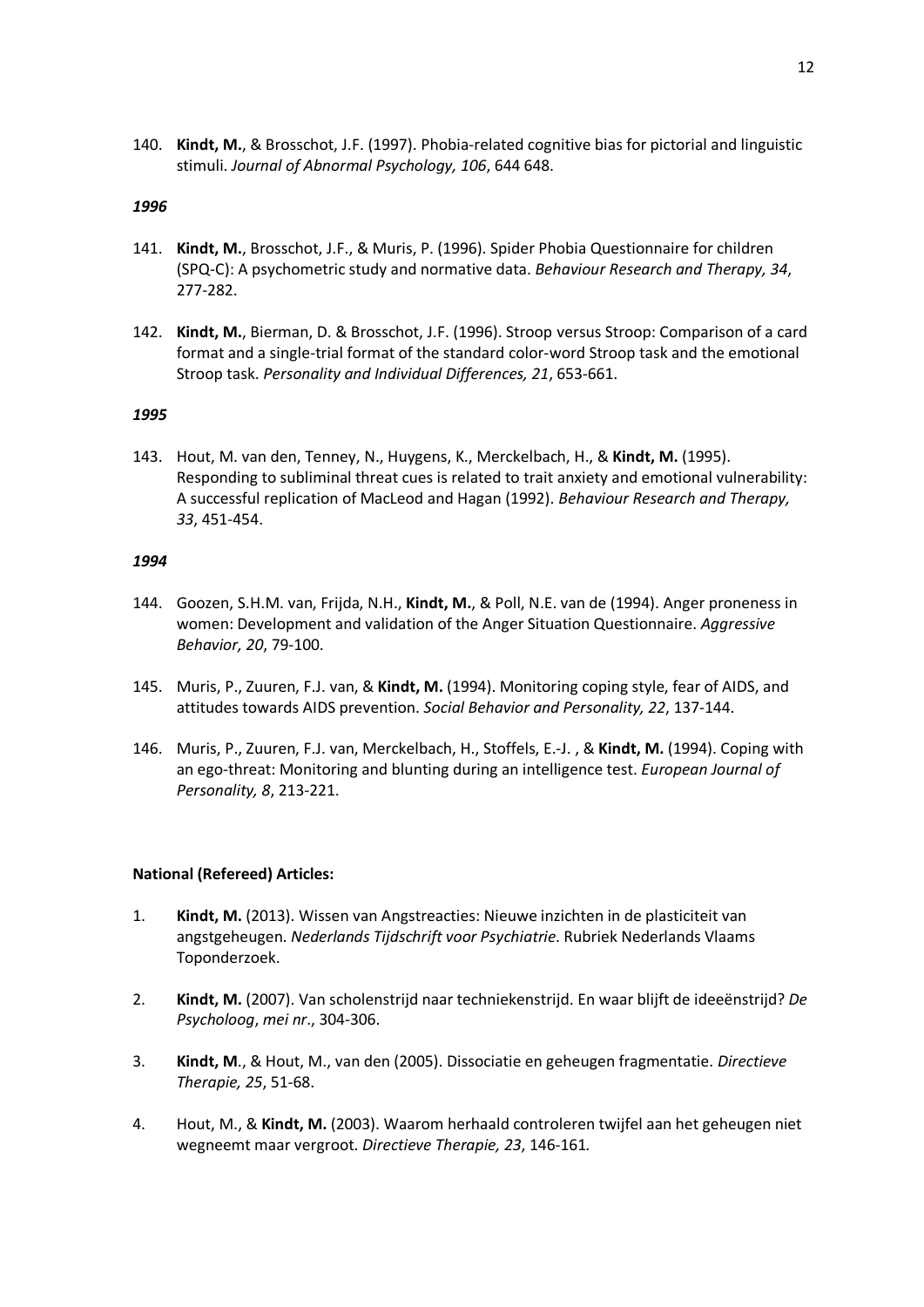140. **Kindt, M.**, & Brosschot, J.F. (1997). Phobia-related cognitive bias for pictorial and linguistic stimuli. *Journal of Abnormal Psychology, 106*, 644 648.

### *1996*

- 141. **Kindt, M.**, Brosschot, J.F., & Muris, P. (1996). Spider Phobia Questionnaire for children (SPQ-C): A psychometric study and normative data. *Behaviour Research and Therapy, 34*, 277-282.
- 142. **Kindt, M.**, Bierman, D. & Brosschot, J.F. (1996). Stroop versus Stroop: Comparison of a card format and a single-trial format of the standard color-word Stroop task and the emotional Stroop task. *Personality and Individual Differences, 21*, 653-661.

# *1995*

143. Hout, M. van den, Tenney, N., Huygens, K., Merckelbach, H., & **Kindt, M.** (1995). Responding to subliminal threat cues is related to trait anxiety and emotional vulnerability: A successful replication of MacLeod and Hagan (1992). *Behaviour Research and Therapy, 33*, 451-454.

### *1994*

- 144. Goozen, S.H.M. van, Frijda, N.H., **Kindt, M.**, & Poll, N.E. van de (1994). Anger proneness in women: Development and validation of the Anger Situation Questionnaire. *Aggressive Behavior, 20*, 79-100.
- 145. Muris, P., Zuuren, F.J. van, & **Kindt, M.** (1994). Monitoring coping style, fear of AIDS, and attitudes towards AIDS prevention. *Social Behavior and Personality, 22*, 137-144.
- 146. Muris, P., Zuuren, F.J. van, Merckelbach, H., Stoffels, E.-J. , & **Kindt, M.** (1994). Coping with an ego-threat: Monitoring and blunting during an intelligence test. *European Journal of Personality, 8*, 213-221.

# **National (Refereed) Articles:**

- 1. **Kindt, M.** (2013). Wissen van Angstreacties: Nieuwe inzichten in de plasticiteit van angstgeheugen. *Nederlands Tijdschrift voor Psychiatrie*. Rubriek Nederlands Vlaams Toponderzoek.
- 2. **Kindt, M.** (2007). Van scholenstrijd naar techniekenstrijd. En waar blijft de ideeënstrijd? *De Psycholoog*, *mei nr*., 304-306.
- 3. **Kindt, M**., & Hout, M., van den (2005). Dissociatie en geheugen fragmentatie. *Directieve Therapie, 25*, 51-68.
- 4. Hout, M., & **Kindt, M.** (2003). Waarom herhaald controleren twijfel aan het geheugen niet wegneemt maar vergroot. *Directieve Therapie, 23*, 146-161*.*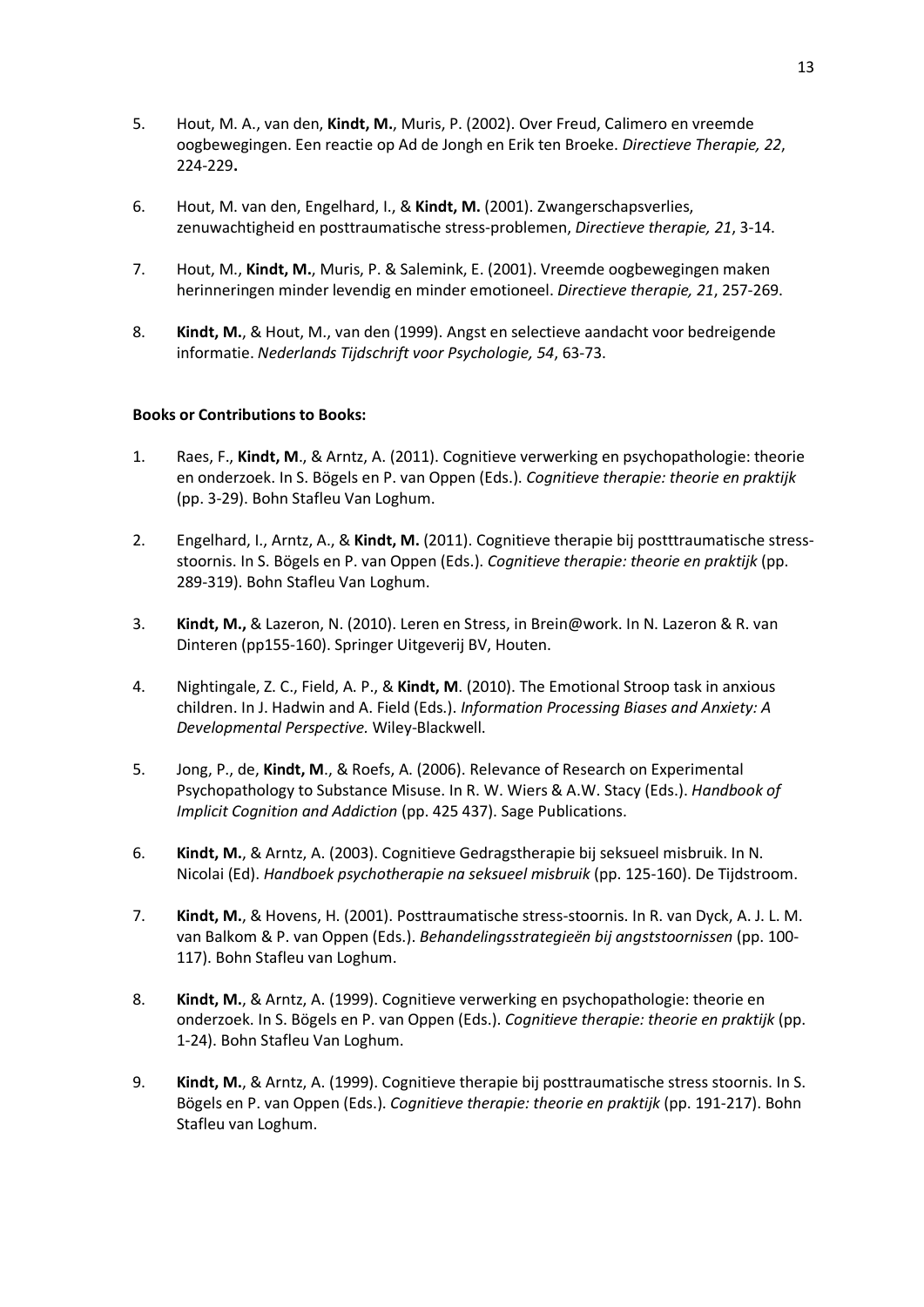- 5. Hout, M. A., van den, **Kindt, M.**, Muris, P. (2002). Over Freud, Calimero en vreemde oogbewegingen. Een reactie op Ad de Jongh en Erik ten Broeke. *Directieve Therapie, 22*, 224-229**.**
- 6. Hout, M. van den, Engelhard, I., & **Kindt, M.** (2001). Zwangerschapsverlies, zenuwachtigheid en posttraumatische stress-problemen, *Directieve therapie, 21*, 3-14.
- 7. Hout, M., **Kindt, M.**, Muris, P. & Salemink, E. (2001). Vreemde oogbewegingen maken herinneringen minder levendig en minder emotioneel. *Directieve therapie, 21*, 257-269.
- 8. **Kindt, M.**, & Hout, M., van den (1999). Angst en selectieve aandacht voor bedreigende informatie. *Nederlands Tijdschrift voor Psychologie, 54*, 63-73.

# **Books or Contributions to Books:**

- 1. Raes, F., **Kindt, M**., & Arntz, A. (2011). Cognitieve verwerking en psychopathologie: theorie en onderzoek. In S. Bögels en P. van Oppen (Eds.). *Cognitieve therapie: theorie en praktijk* (pp. 3-29). Bohn Stafleu Van Loghum.
- 2. Engelhard, I., Arntz, A., & **Kindt, M.** (2011). Cognitieve therapie bij postttraumatische stressstoornis. In S. Bögels en P. van Oppen (Eds.). *Cognitieve therapie: theorie en praktijk* (pp. 289-319). Bohn Stafleu Van Loghum.
- 3. **Kindt, M.,** & Lazeron, N. (2010). Leren en Stress, in Brein@work. In N. Lazeron & R. van Dinteren (pp155-160). Springer Uitgeverij BV, Houten.
- 4. Nightingale, Z. C., Field, A. P., & **Kindt, M**. (2010). The Emotional Stroop task in anxious children. In J. Hadwin and A. Field (Eds.). *Information Processing Biases and Anxiety: A Developmental Perspective.* Wiley-Blackwell.
- 5. Jong, P., de, **Kindt, M**., & Roefs, A. (2006). Relevance of Research on Experimental Psychopathology to Substance Misuse. In R. W. Wiers & A.W. Stacy (Eds.). *Handbook of Implicit Cognition and Addiction* (pp. 425 437). Sage Publications.
- 6. **Kindt, M.**, & Arntz, A. (2003). Cognitieve Gedragstherapie bij seksueel misbruik. In N. Nicolai (Ed). *Handboek psychotherapie na seksueel misbruik* (pp. 125-160). De Tijdstroom.
- 7. **Kindt, M.**, & Hovens, H. (2001). Posttraumatische stress-stoornis. In R. van Dyck, A. J. L. M. van Balkom & P. van Oppen (Eds.). *Behandelingsstrategieën bij angststoornissen* (pp. 100- 117). Bohn Stafleu van Loghum.
- 8. **Kindt, M.**, & Arntz, A. (1999). Cognitieve verwerking en psychopathologie: theorie en onderzoek. In S. Bögels en P. van Oppen (Eds.). *Cognitieve therapie: theorie en praktijk* (pp. 1-24). Bohn Stafleu Van Loghum.
- 9. **Kindt, M.**, & Arntz, A. (1999). Cognitieve therapie bij posttraumatische stress stoornis. In S. Bögels en P. van Oppen (Eds.). *Cognitieve therapie: theorie en praktijk* (pp. 191-217). Bohn Stafleu van Loghum.